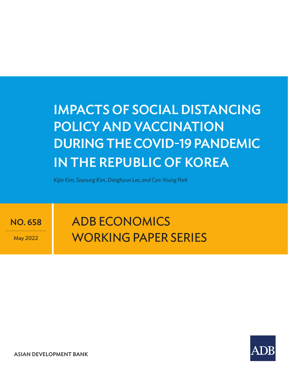# IMPACTS OF SOCIAL DISTANCING POLICY AND VACCINATION DURING THE COVID-19 PANDEMIC IN THE REPUBLIC OF KOREA

*Kijin Kim, Soyoung Kim, Donghyun Lee, and Cyn-Young Park*

NO. 658

May 2022

# ADB ECONOMICS WORKING PAPER SERIES

ASIAN DEVELOPMENT BANK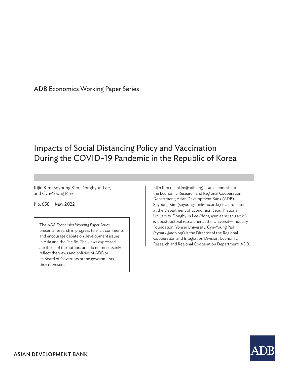ADB Economics Working Paper Series

## Impacts of Social Distancing Policy and Vaccination During the COVID-19 Pandemic in the Republic of Korea

Kijin Kim, Soyoung Kim, Donghyun Lee, and Cyn-Young Park

No. 658 | May 2022

The *ADB Economics Working Paper Series* presents research in progress to elicit comments and encourage debate on development issues in Asia and the Pacific. The views expressed are those of the authors and do not necessarily reflect the views and policies of ADB or its Board of Governors or the governments they represent.

Kijin Kim (kijinkim@adb.org) is an economist at the Economic Research and Regional Cooperation Department, Asian Development Bank (ADB). Soyoung Kim (soyoungkim@snu.ac.kr) is a professor at the Department of Economics, Seoul National University. Donghyun Lee (donghyunleen@snu.ac.kr) is a postdoctoral researcher at the University–Industry Foundation, Yonsei University. Cyn-Young Park (cypark@adb.org) is the Director of the Regional Cooperation and Integration Division, Economic Research and Regional Cooperation Department, ADB.

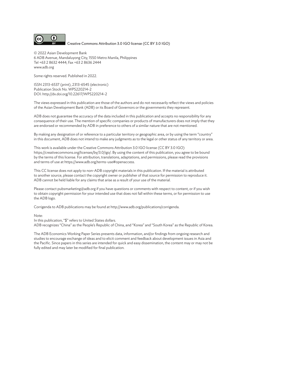

Creative Commons Attribution 3.0 IGO license (CC BY 3.0 IGO)

© 2022 Asian Development Bank 6 ADB Avenue, Mandaluyong City, 1550 Metro Manila, Philippines Tel +63 2 8632 4444; Fax +63 2 8636 2444 www.adb.org

Some rights reserved. Published in 2022.

ISSN 2313-6537 (print), 2313-6545 (electronic) Publication Stock No. WPS220214-2 DOI: http://dx.doi.org/10.22617/WPS220214-2

The views expressed in this publication are those of the authors and do not necessarily reflect the views and policies of the Asian Development Bank (ADB) or its Board of Governors or the governments they represent.

ADB does not guarantee the accuracy of the data included in this publication and accepts no responsibility for any consequence of their use. The mention of specific companies or products of manufacturers does not imply that they are endorsed or recommended by ADB in preference to others of a similar nature that are not mentioned.

By making any designation of or reference to a particular territory or geographic area, or by using the term "country" in this document, ADB does not intend to make any judgments as to the legal or other status of any territory or area.

This work is available under the Creative Commons Attribution 3.0 IGO license (CC BY 3.0 IGO) https://creativecommons.org/licenses/by/3.0/igo/. By using the content of this publication, you agree to be bound by the terms of this license. For attribution, translations, adaptations, and permissions, please read the provisions and terms of use at https://www.adb.org/terms-use#openaccess.

This CC license does not apply to non-ADB copyright materials in this publication. If the material is attributed to another source, please contact the copyright owner or publisher of that source for permission to reproduce it. ADB cannot be held liable for any claims that arise as a result of your use of the material.

Please contact pubsmarketing@adb.org if you have questions or comments with respect to content, or if you wish to obtain copyright permission for your intended use that does not fall within these terms, or for permission to use the ADB logo.

Corrigenda to ADB publications may be found at http://www.adb.org/publications/corrigenda.

Note:

In this publication, "\$" refers to United States dollars.

ADB recognizes "China" as the People's Republic of China, and "Korea" and "South Korea" as the Republic of Korea.

The ADB Economics Working Paper Series presents data, information, and/or findings from ongoing research and studies to encourage exchange of ideas and to elicit comment and feedback about development issues in Asia and the Pacific. Since papers in this series are intended for quick and easy dissemination, the content may or may not be fully edited and may later be modified for final publication.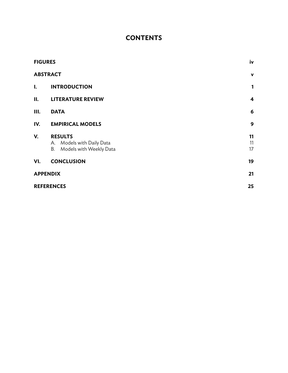## **CONTENTS**

| <b>FIGURES</b>  |                                                                              | iv                      |
|-----------------|------------------------------------------------------------------------------|-------------------------|
|                 | <b>ABSTRACT</b>                                                              | $\mathbf v$             |
| I.              | <b>INTRODUCTION</b>                                                          | $\mathbf{1}$            |
| II.             | <b>LITERATURE REVIEW</b>                                                     | $\overline{\mathbf{4}}$ |
| Ш.              | <b>DATA</b>                                                                  | 6                       |
| IV.             | <b>EMPIRICAL MODELS</b>                                                      | 9                       |
| V.              | <b>RESULTS</b><br>A. Models with Daily Data<br>В.<br>Models with Weekly Data | 11<br>11<br>17          |
| VI.             | <b>CONCLUSION</b>                                                            | 19                      |
| <b>APPENDIX</b> |                                                                              | 21                      |
|                 | <b>REFERENCES</b>                                                            | 25                      |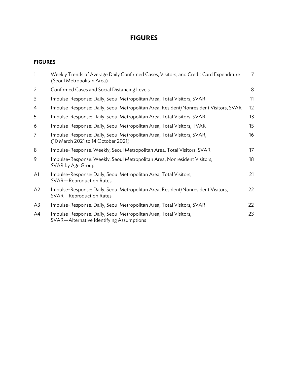## **FIGURES**

#### **FIGURES**

| 1              | Weekly Trends of Average Daily Confirmed Cases, Visitors, and Credit Card Expenditure<br>(Seoul Metropolitan Area) |    |
|----------------|--------------------------------------------------------------------------------------------------------------------|----|
| $\overline{2}$ | Confirmed Cases and Social Distancing Levels                                                                       |    |
| 3              | Impulse-Response: Daily, Seoul Metropolitan Area, Total Visitors, SVAR                                             | 11 |
| 4              | Impulse-Response: Daily, Seoul Metropolitan Area, Resident/Nonresident Visitors, SVAR                              | 12 |
| 5              | Impulse-Response: Daily, Seoul Metropolitan Area, Total Visitors, SVAR                                             | 13 |
| 6              | Impulse-Response: Daily, Seoul Metropolitan Area, Total Visitors, TVAR                                             | 15 |
| 7              | Impulse-Response: Daily, Seoul Metropolitan Area, Total Visitors, SVAR,<br>(10 March 2021 to 14 October 2021)      | 16 |
| 8              | Impulse-Response: Weekly, Seoul Metropolitan Area, Total Visitors, SVAR                                            | 17 |
| 9              | Impulse-Response: Weekly, Seoul Metropolitan Area, Nonresident Visitors,<br>SVAR by Age Group                      |    |
| A <sub>1</sub> | Impulse-Response: Daily, Seoul Metropolitan Area, Total Visitors,<br><b>SVAR-Reproduction Rates</b>                | 21 |
| A2             | Impulse-Response: Daily, Seoul Metropolitan Area, Resident/Nonresident Visitors,<br><b>SVAR-Reproduction Rates</b> | 22 |
| A <sub>3</sub> | Impulse-Response: Daily, Seoul Metropolitan Area, Total Visitors, SVAR                                             | 22 |
| A4             | Impulse-Response: Daily, Seoul Metropolitan Area, Total Visitors,<br>SVAR-Alternative Identifying Assumptions      | 23 |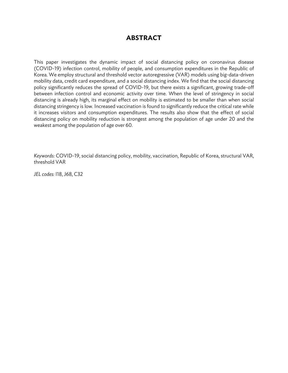### **ABSTRACT**

This paper investigates the dynamic impact of social distancing policy on coronavirus disease (COVID-19) infection control, mobility of people, and consumption expenditures in the Republic of Korea. We employ structural and threshold vector autoregressive (VAR) models using big-data-driven mobility data, credit card expenditure, and a social distancing index. We find that the social distancing policy significantly reduces the spread of COVID-19, but there exists a significant, growing trade-off between infection control and economic activity over time. When the level of stringency in social distancing is already high, its marginal effect on mobility is estimated to be smaller than when social distancing stringency is low. Increased vaccination is found to significantly reduce the critical rate while it increases visitors and consumption expenditures. The results also show that the effect of social distancing policy on mobility reduction is strongest among the population of age under 20 and the weakest among the population of age over 60.

*Keywords:* COVID-19, social distancing policy, mobility, vaccination, Republic of Korea, structural VAR, threshold VAR

*JEL codes:* I18, J68, C32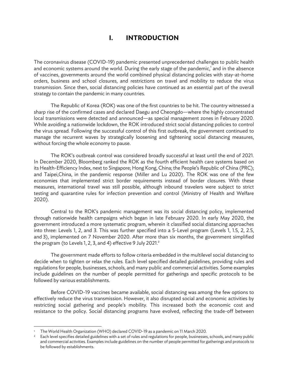## **I. INTRODUCTION**

The coronavirus disease (COVID-19) pandemic presented unprecedented challenges to public health and economic systems around the world. During the early stage of the pandemic,<sup>1</sup> and in the absence of vaccines, governments around the world combined physical distancing policies with stay-at-home orders, business and school closures, and restrictions on travel and mobility to reduce the virus transmission. Since then, social distancing policies have continued as an essential part of the overall strategy to contain the pandemic in many countries.

The Republic of Korea (ROK) was one of the first countries to be hit. The country witnessed a sharp rise of the confirmed cases and declared Daegu and Cheongdo—where the highly concentrated local transmissions were detected and announced—as special management zones in February 2020. While avoiding a nationwide lockdown, the ROK introduced strict social distancing policies to control the virus spread. Following the successful control of this first outbreak, the government continued to manage the recurrent waves by strategically loosening and tightening social distancing measures, without forcing the whole economy to pause.

The ROK's outbreak control was considered broadly successful at least until the end of 2021. In December 2020, Bloomberg ranked the ROK as the fourth efficient health care systems based on its Health-Efficiency Index, next to Singapore; Hong Kong, China; the People's Republic of China (PRC); and Taipei,China, in the pandemic response (Miller and Lu 2020). The ROK was one of the few economies that implemented strict border requirements instead of border closures. With these measures, international travel was still possible, although inbound travelers were subject to strict testing and quarantine rules for infection prevention and control (Ministry of Health and Welfare 2020).

Central to the ROK's pandemic management was its social distancing policy, implemented through nationwide health campaigns which began in late February 2020. In early May 2020, the government introduced a more systematic program, wherein it classified social distancing approaches into three: Levels 1, 2, and 3. This was further specified into a 5-Level program (Levels 1, 1.5, 2, 2.5, and 3), implemented on 7 November 2020. After more than six months, the government simplified the program (to Levels 1, 2, 3, and 4) effective 9 July 2021. $^2$ 

The government made efforts to follow criteria embedded in the multilevel social distancing to decide when to tighten or relax the rules. Each level specified detailed guidelines, providing rules and regulations for people, businesses, schools, and many public and commercial activities. Some examples include guidelines on the number of people permitted for gatherings and specific protocols to be followed by various establishments.

Before COVID-19 vaccines became available, social distancing was among the few options to effectively reduce the virus transmission. However, it also disrupted social and economic activities by restricting social gathering and people's mobility. This increased both the economic cost and resistance to the policy. Social distancing programs have evolved, reflecting the trade-off between

<sup>1</sup> The World Health Organization (WHO) declared COVID-19 as a pandemic on 11 March 2020.

Each level specifies detailed guidelines with a set of rules and regulations for people, businesses, schools, and many public and commercial activities. Examples include guidelines on the number of people permitted for gatherings and protocols to be followed by establishments.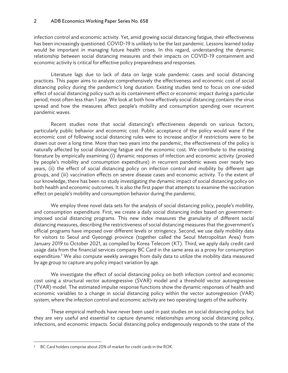#### 2 ADB Economics Working Paper Series No. 658

infection control and economic activity. Yet, amid growing social distancing fatigue, their effectiveness has been increasingly questioned. COVID-19 is unlikely to be the last pandemic. Lessons learned today would be important in managing future health crises. In this regard, understanding the dynamic relationship between social distancing measures and their impacts on COVID-19 containment and economic activity is critical for effective policy preparedness and responses.

Literature lags due to lack of data on large scale pandemic cases and social distancing practices. This paper aims to analyze comprehensively the effectiveness and economic cost of social distancing policy during the pandemic's long duration. Existing studies tend to focus on one-sided effect of social distancing policy such as its containment effect or economic impact during a particular period, most often less than 1 year. We look at both how effectively social distancing contains the virus spread and how the measures affect people's mobility and consumption spending over recurrent pandemic waves.

Recent studies note that social distancing's effectiveness depends on various factors, particularly public behavior and economic cost. Public acceptance of the policy would wane if the economic cost of following social distancing rules were to increase and/or if restrictions were to be drawn out over a long time. More than two years into the pandemic, the effectiveness of the policy is naturally affected by social distancing fatigue and the economic cost. We contribute to the existing literature by empirically examining (i) dynamic responses of infection and economic activity (proxied by people's mobility and consumption expenditure) in recurrent pandemic waves over nearly two years, (ii) the effect of social distancing policy on infection control and mobility by different age groups, and (iii) vaccination effects on severe disease cases and economic activity. To the extent of our knowledge, there has been no study investigating the dynamic impact of social distancing policy on both health and economic outcomes. It is also the first paper that attempts to examine the vaccination effect on people's mobility and consumption behavior during the pandemic.

We employ three novel data sets for the analysis of social distancing policy, people's mobility, and consumption expenditure. First, we create a daily social distancing index based on governmentimposed social distancing programs. This new index measures the granularity of different social distancing measures, describing the restrictiveness of social distancing measures that the government's official programs have imposed over different levels or stringency. Second, we use daily mobility data for visitors to Seoul and Gyeonggi province (together called the Seoul Metropolitan Area) from January 2019 to October 2021, as compiled by Korea Telecom (KT). Third, we apply daily credit card usage data from the financial services company BC Card in the same area as a proxy for consumption expenditure.<sup>3</sup> We also compute weekly averages from daily data to utilize the mobility data measured by age group to capture any policy impact variation by age.

We investigate the effect of social distancing policy on both infection control and economic cost using a structural vector autoregressive (SVAR) model and a threshold vector autoregressive (TVAR) model. The estimated impulse response functions show the dynamic responses of health and economic variables to a change in social distancing policy within the vector autoregression (VAR) system, where the infection control and economic activity are two operating targets of the authority.

These empirical methods have never been used in past studies on social distancing policy, but they are very useful and essential to capture dynamic relationships among social distancing policy, infections, and economic impacts. Social distancing policy endogenously responds to the state of the

<sup>&</sup>lt;sup>3</sup> BC Card holders comprise about 20% of market for credit cards in the ROK.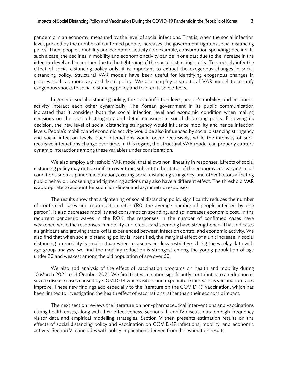pandemic in an economy, measured by the level of social infections. That is, when the social infection level, proxied by the number of confirmed people, increases, the government tightens social distancing policy. Then, people's mobility and economic activity (for example, consumption spending) decline. In such a case, the declines in mobility and economic activity can be in one part due to the increase in the infection level and in another due to the tightening of the social distancing policy. To precisely infer the effect of social distancing policy only, it is important to extract the exogenous changes in social distancing policy. Structural VAR models have been useful for identifying exogenous changes in policies such as monetary and fiscal policy. We also employ a structural VAR model to identify exogenous shocks to social distancing policy and to infer its sole effects.

In general, social distancing policy, the social infection level, people's mobility, and economic activity interact each other dynamically. The Korean government in its public communication indicated that it considers both the social infection level and economic condition when making decisions on the level of stringency and detail measures in social distancing policy. Following its decision, the new level of social distancing stringency would influence mobility and hence infection levels. People's mobility and economic activity would be also influenced by social distancing stringency and social infection levels. Such interactions would occur recursively, while the intensity of such recursive interactions change over time. In this regard, the structural VAR model can properly capture dynamic interactions among these variables under consideration.

We also employ a threshold VAR model that allows non-linearity in responses. Effects of social distancing policy may not be uniform over time, subject to the status of the economy and varying initial conditions such as pandemic duration, existing social distancing stringency, and other factors affecting public behavior. Loosening and tightening actions may also have a different effect. The threshold VAR is appropriate to account for such non-linear and asymmetric responses.

The results show that a tightening of social distancing policy significantly reduces the number of confirmed cases and reproduction rates (R0; the average number of people infected by one person). It also decreases mobility and consumption spending, and so increases economic cost. In the recurrent pandemic waves in the ROK, the responses in the number of confirmed cases have weakened while the responses in mobility and credit card spending have strengthened. That indicates a significant and growing trade-off is experienced between infection control and economic activity. We also find that when social distancing policy is intensified, the marginal effect of a unit increase in social distancing on mobility is smaller than when measures are less restrictive. Using the weekly data with age group analysis, we find the mobility reduction is strongest among the young population of age under 20 and weakest among the old population of age over 60.

We also add analysis of the effect of vaccination programs on health and mobility during 10 March 2021 to 14 October 2021. We find that vaccination significantly contributes to a reduction in severe disease cases caused by COVID-19 while visitors and expenditure increase as vaccination rates improve. These new findings add especially to the literature on the COVID-19 vaccination, which has been limited to investigating the health effect of vaccinations rather than their economic impact.

The next section reviews the literature on non-pharmaceutical interventions and vaccinations during health crises, along with their effectiveness. Sections III and IV discuss data on high-frequency visitor data and empirical modelling strategies. Section V then presents estimation results on the effects of social distancing policy and vaccination on COVID-19 infections, mobility, and economic activity. Section VI concludes with policy implications derived from the estimation results.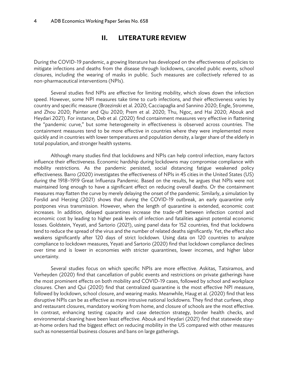#### **II. LITERATURE REVIEW**

During the COVID-19 pandemic, a growing literature has developed on the effectiveness of policies to mitigate infections and deaths from the disease through lockdowns, canceled public events, school closures, including the wearing of masks in public. Such measures are collectively referred to as non-pharmaceutical interventions (NPIs).

Several studies find NPIs are effective for limiting mobility, which slows down the infection speed. However, some NPI measures take time to curb infections, and their effectiveness varies by country and specific measure (Brzezinski et al. 2020; Cacciapaglia and Sannino 2020; Engle, Stromme, and Zhou 2020; Painter and Qiu 2020; Prem et al. 2020; Thu, Ngoc, and Hai 2020; Abouk and Heydari 2021). For instance, Deb et al. (2020) find containment measures very effective in flattening the "pandemic curve," but some heterogeneity in effectiveness is observed across countries. The containment measures tend to be more effective in countries where they were implemented more quickly and in countries with lower temperatures and population density, a larger share of the elderly in total population, and stronger health systems.

Although many studies find that lockdowns and NPIs can help control infection, many factors influence their effectiveness. Economic hardship during lockdowns may compromise compliance with mobility restrictions. As the pandemic persisted, social distancing fatigue weakened policy effectiveness. Barro (2020) investigates the effectiveness of NPIs in 45 cities in the United States (US) during the 1918–1919 Great Influenza Pandemic. Based on the results, he argues that NPIs were not maintained long enough to have a significant effect on reducing overall deaths. Or the containment measures may flatten the curve by merely delaying the onset of the pandemic. Similarly, a simulation by Forslid and Herzing (2021) shows that during the COVID-19 outbreak, an early quarantine only postpones virus transmission. However, when the length of quarantine is extended, economic cost increases. In addition, delayed quarantines increase the trade-off between infection control and economic cost by leading to higher peak levels of infection and fatalities against potential economic losses. Goldstein, Yeyati, and Sartorio (2021), using panel data for 152 countries, find that lockdowns tend to reduce the spread of the virus and the number of related deaths significantly. Yet, the effect also weakens significantly after 120 days of strict lockdown. Using data on 120 countries to analyze compliance to lockdown measures, Yeyati and Sartorio (2020) find that lockdown compliance declines over time and is lower in economies with stricter quarantines, lower incomes, and higher labor uncertainty.

Several studies focus on which specific NPIs are more effective. Askitas, Tatsiramos, and Verheyden (2020) find that cancellation of public events and restrictions on private gatherings have the most prominent effects on both mobility and COVID-19 cases, followed by school and workplace closures. Chen and Qui (2020) find that centralized quarantine is the most effective NPI measure, followed by lockdown, school closure, and wearing masks. Meanwhile, Haug et al. (2020) find that less disruptive NPIs can be as effective as more intrusive national lockdowns. They find that curfews, shop and restaurant closures, mandatory working from home, and closure of schools are the most effective. In contrast, enhancing testing capacity and case detection strategy, border health checks, and environmental cleaning have been least effective. Abouk and Heydari (2021) find that statewide stayat-home orders had the biggest effect on reducing mobility in the US compared with other measures such as nonessential business closures and bans on large gatherings.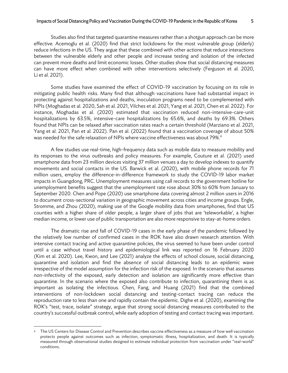Li et al. 2021). Some studies have examined the effect of COVID-19 vaccination by focusing on its role in mitigating public health risks. Many find that although vaccinations have had substantial impact in protecting against hospitalizations and deaths, inoculation programs need to be complemented with NPIs (Moghadas et al. 2020, Sah et al. 2021, Vilches et al. 2021, Yang et al. 2021, Chen et al. 2022). For instance, Moghadas et al. (2020) estimated that vaccination reduced non-intensive-care-unit hospitalizations by 63.5%, intensive-care hospitalizations by 65.6%, and deaths by 69.3%. Others found that NPIs can be relaxed after vaccination rates reach a certain threshold (Marziano et al. 2021, Yang et al. 2021, Pan et al. 2022). Pan et al. (2022) found that a vaccination coverage of about 50% was needed for the safe relaxation of NPIs where vaccine effectiveness was about 79%. $^4$ 

can have more effect when combined with other interventions selectively (Ferguson et al. 2020,

A few studies use real-time, high-frequency data such as mobile data to measure mobility and its responses to the virus outbreaks and policy measures. For example, Couture et al. (2021) used smartphone data from 23 million devices visiting 37 million venues a day to develop indexes to quantify movements and social contacts in the US. Barwick et al. (2020), with mobile phone records for 71 million users, employ the difference-in-difference framework to study the COVID-19 labor market impacts in Guangdong, PRC. Unemployment measures using call records to the government hotline for unemployment benefits suggest that the unemployment rate rose about 30% to 60% from January to September 2020. Chen and Pope (2020) use smartphone data covering almost 2 million users in 2016 to document cross-sectional variation in geographic movement across cities and income groups. Engle, Stromme, and Zhou (2020), making use of the Google mobility data from smartphones, find that US counties with a higher share of older people, a larger share of jobs that are 'teleworkable', a higher median income, or lower use of public transportation are also more responsive to stay-at-home orders.

The dramatic rise and fall of COVID-19 cases in the early phase of the pandemic followed by the relatively low number of confirmed cases in the ROK have also drawn research attention. With intensive contact tracing and active quarantine policies, the virus seemed to have been under control until a case without travel history and epidemiological link was reported on 16 February 2020 (Kim et al. 2020). Lee, Kwon, and Lee (2021) analyze the effects of school closure, social distancing, quarantine and isolation and find the absence of social distancing leads to an epidemic wave irrespective of the model assumption for the infection risk of the exposed. In the scenario that assumes non-infectivity of the exposed, early detection and isolation are significantly more effective than quarantine. In the scenario where the exposed also contribute to infection, quarantining them is as important as isolating the infectious. Chen, Fang, and Huang (2021) find that the combined interventions of non-lockdown social distancing and testing-contact tracing can reduce the reproduction rate to less than one and rapidly contain the epidemic. Dighe et al. (2020), examining the ROK's "test, trace, isolate" strategy, argue that strong social distancing measures contributed to the country's successful outbreak control, while early adoption of testing and contact tracing was important.

<sup>4</sup> The US Centers for Disease Control and Prevention describes vaccine effectiveness as a measure of how well vaccination protects people against outcomes such as infection, symptomatic illness, hospitalization, and death. It is typically measured through observational studies designed to estimate individual protection from vaccination under "real-world" conditions.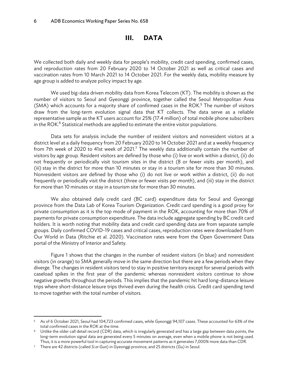#### **III. DATA**

We collected both daily and weekly data for people's mobility, credit card spending, confirmed cases, and reproduction rates from 20 February 2020 to 14 October 2021 as well as critical cases and vaccination rates from 10 March 2021 to 14 October 2021. For the weekly data, mobility measure by age group is added to analyze policy impact by age.

We used big-data driven mobility data from Korea Telecom (KT). The mobility is shown as the number of visitors to Seoul and Gyeonggi province, together called the Seoul Metropolitan Area (SMA) which accounts for a majority share of confirmed cases in the ROK.<sup>5</sup> The number of visitors draw from the long-term evolution signal data that KT collects. The data serve as a reliable representative sample as the KT users account for 25% (17.4 million) of total mobile phone subscribers in the ROK. $^6$  Statistical methods are applied to estimate the entire visitor populations.

Data sets for analysis include the number of resident visitors and nonresident visitors at a district level at a daily frequency from 20 February 2020 to 14 October 2021 and at a weekly frequency from 7th week of 2020 to 41st week of 2021.<sup>7</sup> The weekly data additionally contain the number of visitors by age group. Resident visitors are defined by those who (i) live or work within a district, (ii) do not frequently or periodically visit tourism sites in the district (8 or fewer visits per month), and (iii) stay in the district for more than 10 minutes or stay in a tourism site for more than 30 minutes. Nonresident visitors are defined by those who (i) do not live or work within a district, (ii) do not frequently or periodically visit the district (three or fewer visits per month), and (iii) stay in the district for more than 10 minutes or stay in a tourism site for more than 30 minutes.

We also obtained daily credit card (BC card) expenditure data for Seoul and Gyeonggi province from the Data Lab of Korea Tourism Organization. Credit card spending is a good proxy for private consumption as it is the top mode of payment in the ROK, accounting for more than 70% of payments for private consumption expenditure. The data include aggregate spending by BC credit card holders. It is worth noting that mobility data and credit card spending data are from separate sample groups. Daily confirmed COVID-19 cases and critical cases, reproduction rates were downloaded from Our World in Data (Ritchie et al. 2020). Vaccination rates were from the Open Government Data portal of the Ministry of Interior and Safety.

Figure 1 shows that the changes in the number of resident visitors (in blue) and nonresident visitors (in orange) to SMA generally move in the same direction but there are a few periods when they diverge. The changes in resident visitors tend to stay in positive territory except for several periods with caseload spikes in the first year of the pandemic whereas nonresident visitors continue to show negative growths throughout the periods. This implies that the pandemic hit hard long-distance leisure trips where short-distance leisure trips thrived even during the health crisis. Credit card spending tend to move together with the total number of visitors.

<sup>5</sup> As of 6 October 2021, Seoul had 104,723 confirmed cases, while Gyeonggi 94,107 cases. These accounted for 63% of the total confirmed cases in the ROK at the time. 6 Unlike the older call detail record (CDR) data, which is irregularly generated and has a large gap between data points, the

long-term evolution signal data are generated every 5 minutes on average, even when a mobile phone is not being used. Thus, it is a more powerful tool in capturing accurate movement patterns as it generates 7,000% more data than CDR.<br>7 There are 42 districts (called Si or Gun) in Gyeonggi province, and 25 districts (Gu) in Seoul.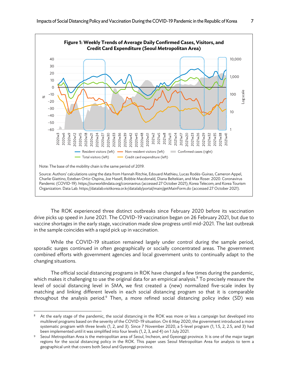



The ROK experienced three distinct outbreaks since February 2020 before its vaccination drive picks up speed in June 2021. The COVID-19 vaccination began on 26 February 2021, but due to vaccine shortages in the early stage, vaccination made slow progress until mid-2021. The last outbreak in the sample coincides with a rapid pick up in vaccination.

While the COVID-19 situation remained largely under control during the sample period, sporadic surges continued in often geographically or socially concentrated areas. The government combined efforts with government agencies and local government units to continually adapt to the changing situations.

The official social distancing programs in ROK have changed a few times during the pandemic, which makes it challenging to use the original data for an empirical analysis. $^8$  To precisely measure the level of social distancing level in SMA, we first created a (new) normalized five-scale index by matching and linking different levels in each social distancing program so that it is comparable throughout the analysis period.<sup>9</sup> Then, a more refined social distancing policy index (SD) was

<sup>8</sup> At the early stage of the pandemic, the social distancing in the ROK was more or less a campaign but developed into multilevel programs based on the severity of the COVID-19 situation. On 6 May 2020, the government introduced a more systematic program with three levels (1, 2, and 3). Since 7 November 2020, a 5-level program (1, 1.5, 2, 2.5, and 3) had

been implemented until it was simplified into four levels (1, 2, 3, and 4) on 1 July 2021.<br>9 Seoul Metropolitan Area is the metropolitan area of Seoul, Incheon, and Gyeonggi province. It is one of the major target regions for the social distancing policy in the ROK. This paper uses Seoul Metropolitan Area for analysis to term a geographical unit that covers both Seoul and Gyeonggi province.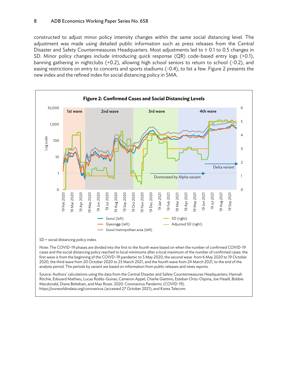constructed to adjust minor policy intensity changes within the same social distancing level. The adjustment was made using detailed public information such as press releases from the Central Disaster and Safety Countermeasures Headquarters. Most adjustments led to ± 0.1 to 0.5 changes in SD. Minor policy changes include introducing quick response (QR) code-based entry logs (+0.1), banning gathering in nightclubs (+0.2), allowing high school seniors to return to school (-0.2), and easing restrictions on entry to concerts and sports stadiums (-0.4), to list a few. Figure 2 presents the new index and the refined index for social distancing policy in SMA.



Note: The COVID-19 phases are divided into the first to the fourth wave based on when the number of confirmed COVID-19 cases and the social distancing policy reached to local minimums after a local maximum of the number of confirmed cases: the first wave is from the beginning of the COIVD-19 pandemic to 5 May 2020, the second wave from 6 May 2020 to 19 October 2020, the third wave from 20 October 2020 to 23 March 2021, and the fourth wave from 24 March 2021, to the end of the analysis period. The periods by variant are based on information from public releases and news reports.

Source: Authors' calculations using the data from the Central Disaster and Safety Countermeasures Headquarters; Hannah Ritchie, Edouard Mathieu, Lucas Rodés-Guirao, Cameron Appel, Charlie Giattino, Esteban Ortiz-Ospina, Joe Hasell, Bobbie Macdonald, Diana Beltekian, and Max Roser. 2020. Coronavirus Pandemic (COVID-19). https://ourworldindata.org/coronavirus (accessed 27 October 2021); and Korea Telecom.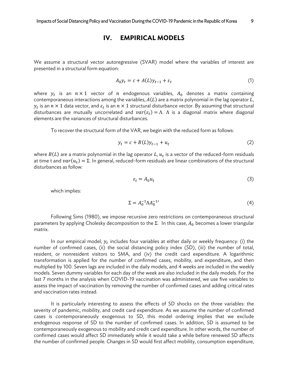We assume a structural vector autoregressive (SVAR) model where the variables of interest are presented in a structural form equation:

$$
A_0 y_t = c + A(L)y_{t-1} + \varepsilon_t \tag{1}
$$

where  $y_t$  is an  $n \times 1$  vector of  $n$  endogenous variables,  $A_0$  denotes a matrix containing contemporaneous interactions among the variables,  $A(L)$  are a matrix polynomial in the lag operator  $L$ ,  $y_t$  is an  $n \times 1$  data vector, and  $\varepsilon_t$  is an  $n \times 1$  structural disturbance vector. By assuming that structural disturbances are mutually uncorrelated and  $var(\varepsilon_t) = \Lambda$ . A is a diagonal matrix where diagonal elements are the variances of structural disturbances.

To recover the structural form of the VAR, we begin with the reduced form as follows:

$$
y_t = c + B(L)y_{t-1} + u_t \tag{2}
$$

where  $B(L)$  are a matrix polynomial in the lag operator L,  $u_t$  is a vector of the reduced-form residuals at time t and  $var(u_t) = \Sigma$ . In general, reduced-form residuals are linear combinations of the structural disturbances as follow:

$$
\varepsilon_t = A_0 u_t \tag{3}
$$

which implies:

$$
\Sigma = A_0^{-1} \Lambda A_0^{-1} \tag{4}
$$

Following Sims (1980), we impose recursive zero restrictions on contemporaneous structural parameters by applying Cholesky decomposition to the Σ. In this case,  $A_0$  becomes a lower triangular matrix.

In our empirical model,  $y_t$  includes four variables at either daily or weekly frequency: (i) the number of confirmed cases, (ii) the social distancing policy index (SD), (iii) the number of total, resident, or nonresident visitors to SMA, and (iv) the credit card expenditure. A logarithmic transformation is applied for the number of confirmed cases, mobility, and expenditure, and then multiplied by 100. Seven lags are included in the daily models, and 4 weeks are included in the weekly models. Seven dummy variables for each day of the week are also included in the daily models. For the last 7 months in the analysis when COVID-19 vaccination was administered, we use five variables to assess the impact of vaccination by removing the number of confirmed cases and adding critical rates and vaccination rates instead.

It is particularly interesting to assess the effects of SD shocks on the three variables: the severity of pandemic, mobility, and credit card expenditure. As we assume the number of confirmed cases is contemporaneously exogenous to SD, this model ordering implies that we exclude endogenous response of SD to the number of confirmed cases. In addition, SD is assumed to be contemporaneously exogenous to mobility and credit card expenditure. In other words, the number of confirmed cases would affect SD immediately while it would take a while before renewed SD affects the number of confirmed people. Changes in SD would first affect mobility, consumption expenditure,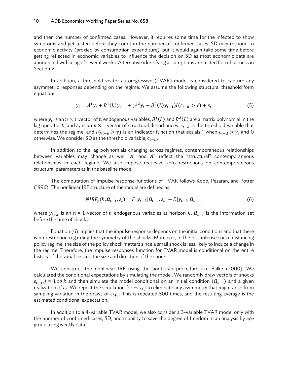and then the number of confirmed cases. However, it requires some time for the infected to show symptoms and get tested before they count in the number of confirmed cases. SD may respond to economic activity (proxied by consumption expenditure), but it would again take some time before getting reflected in economic variables to influence the decision on SD as most economic data are announced with a lag of several weeks. Alternative identifying assumptions are tested for robustness in Section V.

In addition, a threshold vector autoregressive (TVAR) model is considered to capture any asymmetric responses depending on the regime. We assume the following structural threshold form equation:

$$
y_t = A^1 y_t + B^1(L) y_{t-1} + (A^2 y_t + B^2(L) y_{t-1}) I(c_{t-d} > \gamma) + \varepsilon_t
$$
\n<sup>(5)</sup>

where  $y_t$  is an  $n \times 1$  vector of  $n$  endogenous variables,  $B^1(L)$  and  $B^2(L)$  are a matrix polynomial in the lag operator L, and  $\varepsilon_t$  is an  $n \times 1$  vector of structural disturbances.  $c_{t-d}$  is the threshold variable that determines the regime, and  $I(c_{t-d} > \gamma)$  is an indicator function that equals 1 when  $c_{t-d} > \gamma$ , and 0 otherwise. We consider SD as the threshold variable,  $c_{t-d}$ .

In addition to the lag polynomials changing across regimes, contemporaneous relationships between variables may change as well.  $A<sup>1</sup>$  and  $A<sup>2</sup>$  reflect the "structural" contemporaneous relationships in each regime. We also impose recursive zero restrictions on contemporaneous structural parameters as in the baseline model.

The computation of impulse response functions of TVAR follows Koop, Pesaran, and Potter (1996). The nonlinear IRF structure of the model are defined as:

$$
NIRF_{y}(k, \Omega_{t-1}, \varepsilon_{t}) = E[y_{t+k} | \Omega_{t-1}, \varepsilon_{t}] - E[y_{t+k} | \Omega_{t-1}]
$$
\n(6)

where  $y_{t+k}$  is an  $n \times 1$  vector of  $n$  endogenous variables at horizon  $k$ ,  $\Omega_{t-1}$  is the information set before the time of shock  $t$ .

Equation (6) implies that the impulse response depends on the initial conditions and that there is no restriction regarding the symmetry of the shocks. Moreover, in the less intense social distancing policy regime, the size of the policy shock matters since a small shock is less likely to induce a change in the regime. Therefore, the impulse responses function for TVAR model is conditional on the entire history of the variables and the size and direction of the shock.

We construct the nonlinear IRF using the bootstrap procedure like Balke (2000). We calculated the conditional expectations by simulating the model. We randomly draw vectors of shocks  $\varepsilon_{t+i}, j = 1$  to k and then simulate the model conditional on an initial condition  $(\Omega_{t-1})$  and a given realization of  $\varepsilon_t$ . We repeat the simulation for  $-\varepsilon_{t+j}$  to eliminate any asymmetry that might arise from sampling variation in the draws of  $\varepsilon_{t+i}$ . This is repeated 500 times, and the resulting average is the estimated conditional expectation.

In addition to a 4-variable TVAR model, we also consider a 3-variable TVAR model only with the number of confirmed cases, SD, and mobility to save the degree of freedom in an analysis by age group using weekly data.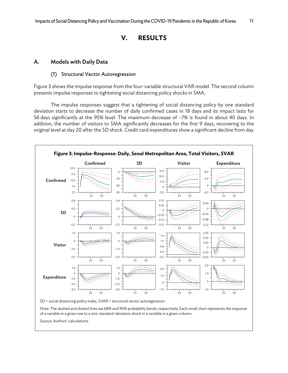### **V. RESULTS**

#### A. Models with Daily Data

#### (1) Structural Vector Autoregression

Figure 3 shows the impulse response from the four-variable structural VAR model. The second column presents impulse responses to tightening social distancing policy shocks in SMA.

The impulse responses suggest that a tightening of social distancing policy by one standard deviation starts to decrease the number of daily confirmed cases in 18 days and its impact lasts for 56 days significantly at the 95% level. The maximum decrease of –7% is found in about 40 days. In addition, the number of visitors to SMA significantly decreases for the first 9 days, recovering to the original level at day 20 after the SD shock. Credit card expenditures show a significant decline from day



Note: The dashed and dotted lines are 68% and 90% probability bands, respectively. Each small chart represents the response of a variable in a given row to a one-standard-deviation shock in a variable in a given column.

Source: Authors' calculations.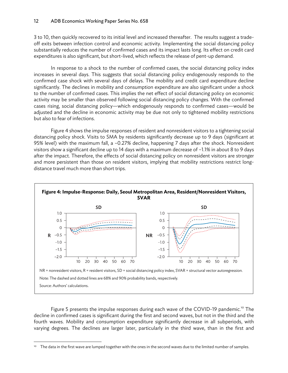3 to 10, then quickly recovered to its initial level and increased thereafter. The results suggest a tradeoff exits between infection control and economic activity. Implementing the social distancing policy substantially reduces the number of confirmed cases and its impact lasts long. Its effect on credit card expenditures is also significant, but short-lived, which reflects the release of pent-up demand.

In response to a shock to the number of confirmed cases, the social distancing policy index increases in several days. This suggests that social distancing policy endogenously responds to the confirmed case shock with several days of delays. The mobility and credit card expenditure decline significantly. The declines in mobility and consumption expenditure are also significant under a shock to the number of confirmed cases. This implies the net effect of social distancing policy on economic activity may be smaller than observed following social distancing policy changes. With the confirmed cases rising, social distancing policy—which endogenously responds to confirmed cases—would be adjusted and the decline in economic activity may be due not only to tightened mobility restrictions but also to fear of infections.

Figure 4 shows the impulse responses of resident and nonresident visitors to a tightening social distancing policy shock. Visits to SMA by residents significantly decrease up to 9 days (significant at 95% level) with the maximum fall, a –0.27% decline, happening 7 days after the shock. Nonresident visitors show a significant decline up to 14 days with a maximum decrease of –1.1% in about 8 to 9 days after the impact. Therefore, the effects of social distancing policy on nonresident visitors are stronger and more persistent than those on resident visitors, implying that mobility restrictions restrict longdistance travel much more than short trips.



Figure 5 presents the impulse responses during each wave of the COVID-19 pandemic.<sup>10</sup> The decline in confirmed cases is significant during the first and second waves, but not in the third and the fourth waves. Mobility and consumption expenditure significantly decrease in all subperiods, with varying degrees. The declines are larger later, particularly in the third wave, than in the first and

The data in the first wave are lumped together with the ones in the second waves due to the limited number of samples.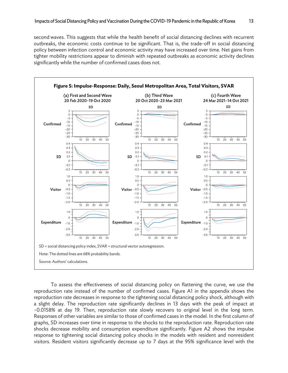second waves. This suggests that while the health benefit of social distancing declines with recurrent outbreaks, the economic costs continue to be significant. That is, the trade-off in social distancing policy between infection control and economic activity may have increased over time. Net gains from tighter mobility restrictions appear to diminish with repeated outbreaks as economic activity declines significantly while the number of confirmed cases does not.



To assess the effectiveness of social distancing policy on flattening the curve, we use the reproduction rate instead of the number of confirmed cases. Figure A1 in the appendix shows the reproduction rate decreases in response to the tightening social distancing policy shock, although with a slight delay. The reproduction rate significantly declines in 13 days with the peak of impact at –0.0158% at day 19. Then, reproduction rate slowly recovers to original level in the long term. Responses of other variables are similar to those of confirmed cases in the model. In the first column of graphs, SD increases over time in response to the shocks to the reproduction rate. Reproduction rate shocks decrease mobility and consumption expenditure significantly. Figure A2 shows the impulse response to tightening social distancing policy shocks in the models with resident and nonresident visitors. Resident visitors significantly decrease up to 7 days at the 95% significance level with the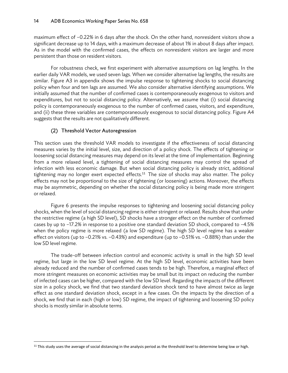maximum effect of –0.22% in 6 days after the shock. On the other hand, nonresident visitors show a significant decrease up to 14 days, with a maximum decrease of about 1% in about 8 days after impact. As in the model with the confirmed cases, the effects on nonresident visitors are larger and more persistent than those on resident visitors.

For robustness check, we first experiment with alternative assumptions on lag lengths. In the earlier daily VAR models, we used seven lags. When we consider alternative lag lengths, the results are similar. Figure A3 in appendix shows the impulse response to tightening shocks to social distancing policy when four and ten lags are assumed. We also consider alternative identifying assumptions. We initially assumed that the number of confirmed cases is contemporaneously exogenous to visitors and expenditures, but not to social distancing policy. Alternatively, we assume that (i) social distancing policy is contemporaneously exogenous to the number of confirmed cases, visitors, and expenditure, and (ii) these three variables are contemporaneously exogenous to social distancing policy. Figure A4 suggests that the results are not qualitatively different.

#### (2) Threshold Vector Autoregression

This section uses the threshold VAR models to investigate if the effectiveness of social distancing measures varies by the initial level, size, and direction of a policy shock. The effects of tightening or loosening social distancing measures may depend on its level at the time of implementation. Beginning from a more relaxed level, a tightening of social distancing measures may control the spread of infection with less economic damage. But when social distancing policy is already strict, additional tightening may no longer exert expected effects.<sup>11</sup> The size of shocks may also matter. The policy effects may not be proportional to the size of tightening (or loosening) actions. Moreover, the effects may be asymmetric, depending on whether the social distancing policy is being made more stringent or relaxed.

Figure 6 presents the impulse responses to tightening and loosening social distancing policy shocks, when the level of social distancing regime is either stringent or relaxed. Results show that under the restrictive regime (a high SD level), SD shocks have a stronger effect on the number of confirmed cases by up to –17.2% in response to a positive one standard deviation SD shock, compared to –4.5% when the policy regime is more relaxed (a low SD regime). The high SD level regime has a weaker effect on visitors (up to –0.21% vs. –0.43%) and expenditure (up to –0.51% vs. –0.88%) than under the low SD level regime.

The trade-off between infection control and economic activity is small in the high SD level regime, but large in the low SD level regime. At the high SD level, economic activities have been already reduced and the number of confirmed cases tends to be high. Therefore, a marginal effect of more stringent measures on economic activities may be small but its impact on reducing the number of infected cases can be higher, compared with the low SD level. Regarding the impacts of the different size in a policy shock, we find that two standard deviation shock tend to have almost twice as large effect as one standard deviation shock, except in a few cases. On the impacts by the direction of a shock, we find that in each (high or low) SD regime, the impact of tightening and loosening SD policy shocks is mostly similar in absolute terms.

<sup>&</sup>lt;sup>11</sup> This study uses the average of social distancing in the analysis period as the threshold level to determine being low or high.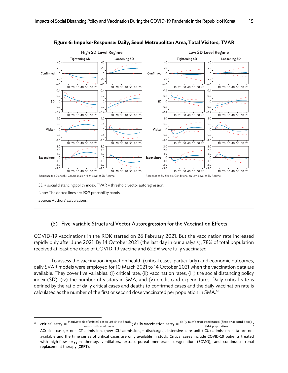

#### (3) Five-variable Structural Vector Autoregression for the Vaccination Effects

COVID-19 vaccinations in the ROK started on 26 February 2021. But the vaccination rate increased rapidly only after June 2021. By 14 October 2021 (the last day in our analysis), 78% of total population received at least one dose of COVID-19 vaccine and 62.3% were fully vaccinated.

To assess the vaccination impact on health (critical cases, particularly) and economic outcomes, daily SVAR models were employed for 10 March 2021 to 14 October 2021 when the vaccination data are available. They cover five variables: (i) critical rate, (ii) vaccination rates, (iii) the social distancing policy index (SD), (iv) the number of visitors in SMA, and (v) credit card expenditures. Daily critical rate is defined by the ratio of daily critical cases and deaths to confirmed cases and the daily vaccination rate is calculated as the number of the first or second dose vaccinated per population in SMA.<sup>12</sup>

 $12$  critical rate<sub>t</sub> =  $\frac{Max(\Delta stock \text{ of critical cases}_{t}) + New death}{new \text{ confirmed cases}_{t}}$ ; daily vaccination rate<sub>t</sub> =  $\frac{daily \text{ number of vaccinated (first or second does})}{SM \text{ and population}}$ ; new confirmed cases $_{\rm t}$ ∆Critical case<sub>t</sub> = net ICT admission<sub>t</sub> (new ICU admission<sub>t</sub> – discharge<sub>t</sub>). Intensive care unit (ICU) admission data are not available and the time series of critical cases are only available in stock. Critical cases include COVID-19 patients treated with high-flow oxygen therapy, ventilators, extracorporeal membrane oxygenation (ECMO), and continuous renal replacement therapy (CRRT).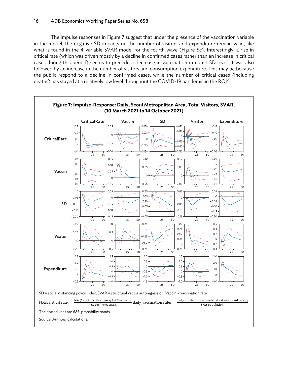#### 16 ADB Economics Working Paper Series No. 658

The impulse responses in Figure 7 suggest that under the presence of the vaccination variable in the model, the negative SD impacts on the number of visitors and expenditure remain valid, like what is found in the 4-variable SVAR model for the fourth wave (Figure 5c). Interestingly, a rise in critical rate (which was driven mostly by a decline in confirmed cases rather than an increase in critical cases during this period) seems to precede a decrease in vaccination rate and SD level. It was also followed by an increase in the number of visitors and consumption expenditure. This may be because the public respond to a decline in confirmed cases, while the number of critical cases (including deaths) has stayed at a relatively low level throughout the COVID-19 pandemic in the ROK.

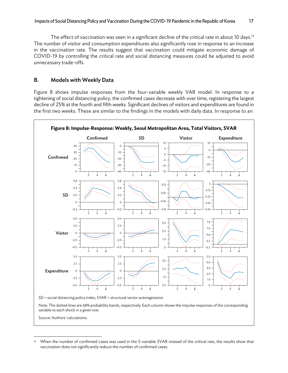The effect of vaccination was seen in a significant decline of the critical rate in about 10 days.<sup>13</sup> The number of visitor and consumption expenditures also significantly rose in response to an increase in the vaccination rate. The results suggest that vaccination could mitigate economic damage of COVID-19 by controlling the critical rate and social distancing measures could be adjusted to avoid unnecessary trade-offs.

#### B. Models with Weekly Data

Figure 8 shows impulse responses from the four-variable weekly VAR model. In response to a tightening of social distancing policy, the confirmed cases decrease with over time, registering the largest decline of 25% at the fourth and fifth weeks. Significant declines of visitors and expenditures are found in the first two weeks. These are similar to the findings in the models with daily data. In response to an



<sup>&</sup>lt;sup>13</sup> When the number of confirmed cases was used in the 5-variable SVAR instead of the critical rate, the results show that vaccination does not significantly reduce the number of confirmed cases.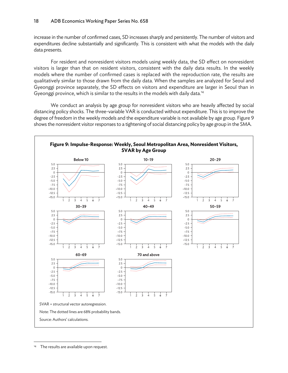increase in the number of confirmed cases, SD increases sharply and persistently. The number of visitors and expenditures decline substantially and significantly. This is consistent with what the models with the daily data presents.

For resident and nonresident visitors models using weekly data, the SD effect on nonresident visitors is larger than that on resident visitors, consistent with the daily data results. In the weekly models where the number of confirmed cases is replaced with the reproduction rate, the results are qualitatively similar to those drawn from the daily data. When the samples are analyzed for Seoul and Gyeonggi province separately, the SD effects on visitors and expenditure are larger in Seoul than in Gyeonggi province, which is similar to the results in the models with daily data.<sup>14</sup>

We conduct an analysis by age group for nonresident visitors who are heavily affected by social distancing policy shocks. The three-variable VAR is conducted without expenditure. This is to improve the degree of freedom in the weekly models and the expenditure variable is not available by age group. Figure 9 shows the nonresident visitor responses to a tightening of social distancing policy by age group in the SMA.



The results are available upon request.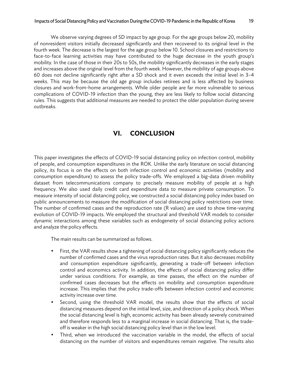We observe varying degrees of SD impact by age group. For the age groups below 20, mobility of nonresident visitors initially decreased significantly and then recovered to its original level in the fourth week. The decrease is the largest for the age group below 10. School closures and restrictions to face-to-face learning activities may have contributed to the huge decrease in the youth group's mobility. In the case of those in their 20s to 50s, the mobility significantly decreases in the early stages and increases above the original level from the fourth week. However, the mobility of age groups above 60 does not decline significantly right after a SD shock and it even exceeds the initial level in 3–4 weeks. This may be because the old age group includes retirees and is less affected by business closures and work-from-home arrangements. While older people are far more vulnerable to serious complications of COVID-19 infection than the young, they are less likely to follow social distancing rules. This suggests that additional measures are needed to protect the older population during severe outbreaks.

#### **VI. CONCLUSION**

This paper investigates the effects of COVID-19 social distancing policy on infection control, mobility of people, and consumption expenditures in the ROK. Unlike the early literature on social distancing policy, its focus is on the effects on both infection control and economic activities (mobility and consumption expenditure) to assess the policy trade-offs. We employed a big-data driven mobility dataset from telecommunications company to precisely measure mobility of people at a high frequency. We also used daily credit card expenditure data to measure private consumption. To measure intensity of social distancing policy, we constructed a social distancing policy index based on public announcements to measure the modification of social distancing policy restrictions over time. The number of confirmed cases and the reproduction rate (R values) are used to show time-varying evolution of COVID-19 impacts. We employed the structural and threshold VAR models to consider dynamic interactions among these variables such as endogeneity of social distancing policy actions and analyze the policy effects.

The main results can be summarized as follows.

- First, the VAR results show a tightening of social distancing policy significantly reduces the number of confirmed cases and the virus reproduction rates. But it also decreases mobility and consumption expenditure significantly, generating a trade-off between infection control and economics activity. In addition, the effects of social distancing policy differ under various conditions. For example, as time passes, the effect on the number of confirmed cases decreases but the effects on mobility and consumption expenditure increase. This implies that the policy trade-offs between infection control and economic activity increase over time.
- Second, using the threshold VAR model, the results show that the effects of social distancing measures depend on the initial level, size, and direction of a policy shock. When the social distancing level is high, economic activity has been already severely constrained and therefore responds less to a marginal increase in social distancing. That is, the tradeoff is weaker in the high social distancing policy level than in the low level.
- Third, when we introduced the vaccination variable in the model, the effects of social distancing on the number of visitors and expenditures remain negative. The results also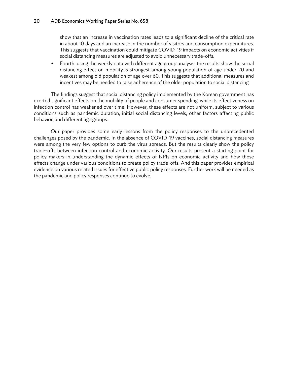show that an increase in vaccination rates leads to a significant decline of the critical rate in about 10 days and an increase in the number of visitors and consumption expenditures. This suggests that vaccination could mitigate COVID-19 impacts on economic activities if social distancing measures are adjusted to avoid unnecessary trade-offs.

 Fourth, using the weekly data with different age group analysis, the results show the social distancing effect on mobility is strongest among young population of age under 20 and weakest among old population of age over 60. This suggests that additional measures and incentives may be needed to raise adherence of the older population to social distancing.

The findings suggest that social distancing policy implemented by the Korean government has exerted significant effects on the mobility of people and consumer spending, while its effectiveness on infection control has weakened over time. However, these effects are not uniform, subject to various conditions such as pandemic duration, initial social distancing levels, other factors affecting public behavior, and different age groups.

Our paper provides some early lessons from the policy responses to the unprecedented challenges posed by the pandemic. In the absence of COVID-19 vaccines, social distancing measures were among the very few options to curb the virus spreads. But the results clearly show the policy trade-offs between infection control and economic activity. Our results present a starting point for policy makers in understanding the dynamic effects of NPIs on economic activity and how these effects change under various conditions to create policy trade-offs. And this paper provides empirical evidence on various related issues for effective public policy responses. Further work will be needed as the pandemic and policy responses continue to evolve.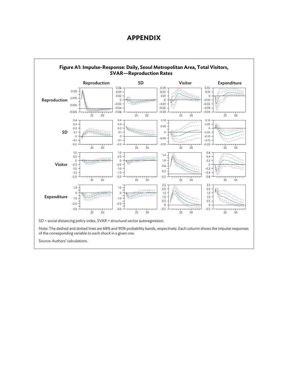#### **APPENDIX**

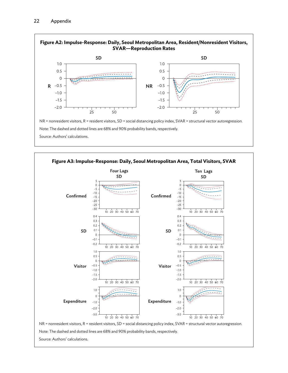

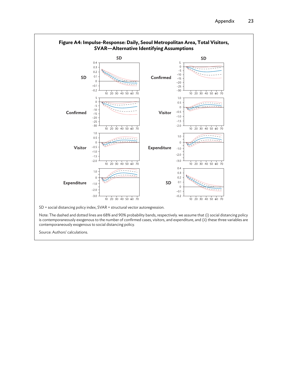

Note: The dashed and dotted lines are 68% and 90% probability bands, respectively. we assume that (i) social distancing policy is contemporaneously exogenous to the number of confirmed cases, visitors, and expenditure, and (ii) these three variables are contemporaneously exogenous to social distancing policy.

Source: Authors' calculations.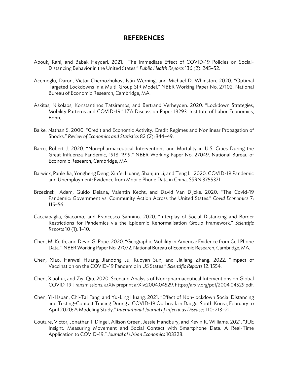#### **REFERENCES**

- Abouk, Rahi, and Babak Heydari. 2021. "The Immediate Effect of COVID-19 Policies on Social-Distancing Behavior in the United States." *Public Health Reports* 136 (2): 245–52.
- Acemoglu, Daron, Victor Chernozhukov, Iván Werning, and Michael D. Whinston. 2020. "Optimal Targeted Lockdowns in a Multi-Group SIR Model." NBER Working Paper No. 27102. National Bureau of Economic Research, Cambridge, MA.
- Askitas, Nikolaos, Konstantinos Tatsiramos, and Bertrand Verheyden. 2020. "Lockdown Strategies, Mobility Patterns and COVID-19." IZA Discussion Paper 13293. Institute of Labor Economics, Bonn.
- Balke, Nathan S. 2000. "Credit and Economic Activity: Credit Regimes and Nonlinear Propagation of Shocks." *Review of Economics and Statistics* 82 (2): 344–49.
- Barro, Robert J. 2020. "Non-pharmaceutical Interventions and Mortality in U.S. Cities During the Great Influenza Pandemic, 1918–1919." NBER Working Paper No. 27049. National Bureau of Economic Research, Cambridge, MA.
- Barwick, Panle Jia, Yongheng Deng, Xinfei Huang, Shanjun Li, and Teng Li. 2020. COVID-19 Pandemic and Unemployment: Evidence from Mobile Phone Data in China. SSRN 3755371.
- Brzezinski, Adam, Guido Deiana, Valentin Kecht, and David Van Dijcke. 2020. "The Covid-19 Pandemic: Government vs. Community Action Across the United States." *Covid Economics* 7: 115–56.
- Cacciapaglia, Giacomo, and Francesco Sannino. 2020. "Interplay of Social Distancing and Border Restrictions for Pandemics via the Epidemic Renormalisation Group Framework." *Scientific Reports* 10 (1): 1–10.
- Chen, M. Keith, and Devin G. Pope. 2020. "Geographic Mobility in America: Evidence from Cell Phone Data." NBER Working Paper No. 27072. National Bureau of Economic Research, Cambridge, MA.
- Chen, Xiao, Hanwei Huang, Jiandong Ju, Ruoyan Sun, and Jialiang Zhang. 2022. "Impact of Vaccination on the COVID-19 Pandemic in US States." *Scientific Reports* 12: 1554.
- Chen, Xiaohui, and Ziyi Qiu. 2020. Scenario Analysis of Non-pharmaceutical Interventions on Global COVID-19 Transmissions. arXiv preprint arXiv:2004.04529. https://arxiv.org/pdf/2004.04529.pdf.
- Chen, Yi-Hsuan, Chi-Tai Fang, and Yu-Ling Huang. 2021. "Effect of Non-lockdown Social Distancing and Testing-Contact Tracing During a COVID-19 Outbreak in Daegu, South Korea, February to April 2020: A Modeling Study." *International Journal of Infectious Diseases* 110: 213–21.
- Couture, Victor, Jonathan I. Dingel, Allison Green, Jessie Handbury, and Kevin R. Williams. 2021. "JUE Insight: Measuring Movement and Social Contact with Smartphone Data: A Real-Time Application to COVID-19." *Journal of Urban Economics* 103328.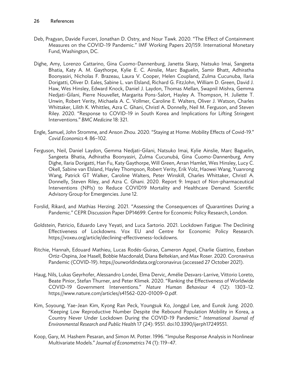- Deb, Pragyan, Davide Furceri, Jonathan D. Ostry, and Nour Tawk. 2020. "The Effect of Containment Measures on the COVID-19 Pandemic." IMF Working Papers 20/159. International Monetary Fund, Washington, DC.
- Dighe, Amy, Lorenzo Cattarino, Gina Cuomo-Dannenburg, Janetta Skarp, Natsuko Imai, Sangeeta Bhatia, Katy A. M. Gaythorpe, Kylie E. C. Ainslie, Marc Baguelin, Samir Bhatt, Adhiratha Boonyasiri, Nicholas F. Brazeau, Laura V. Cooper, Helen Coupland, Zulma Cucunuba, Ilaria Dorigatti, Oliver D. Eales, Sabine L. van Elsland, Richard G. FitzJohn, William D. Green, David J. Haw, Wes Hinsley, Edward Knock, Daniel J. Laydon, Thomas Mellan, Swapnil Mishra, Gemma Nedjati-Gilani, Pierre Nouvellet, Margarita Pons-Salort, Hayley A. Thompson, H. Juliette T. Unwin, Robert Verity, Michaela A. C. Vollmer, Caroline E. Walters, Oliver J. Watson, Charles Whittaker, Lilith K. Whittles, Azra C. Ghani, Christl A. Donnelly, Neil M. Ferguson, and Steven Riley. 2020. "Response to COVID-19 in South Korea and Implications for Lifting Stringent Interventions." *BMC Medicine* 18: 321.
- Engle, Samuel, John Stromme, and Anson Zhou. 2020. "Staying at Home: Mobility Effects of Covid-19." *Covid Economics* 4: 86–102.
- Ferguson, Neil, Daniel Laydon, Gemma Nedjati-Gilani, Natsuko Imai, Kylie Ainslie, Marc Baguelin, Sangeeta Bhatia, Adhiratha Boonyasiri, Zulma Cucunubá, Gina Cuomo-Dannenburg, Amy Dighe, Ilaria Dorigatti, Han Fu, Katy Gaythorpe, Will Green, Arran Hamlet, Wes Hinsley, Lucy C. Okell, Sabine van Elsland, Hayley Thompson, Robert Verity, Erik Volz, Haowei Wang, Yuanrong Wang, Patrick GT Walker, Caroline Walters, Peter Winskill, Charles Whittaker, Christl A. Donnelly, Steven Riley, and Azra C. Ghani. 2020. Report 9: Impact of Non-pharmaceutical Interventions (NPIs) to Reduce COVID19 Mortality and Healthcare Demand. Scientific Advisory Group for Emergencies. June 12.
- Forslid, Rikard, and Mathias Herzing. 2021. "Assessing the Consequences of Quarantines During a Pandemic." CEPR Discussion Paper DP14699. Centre for Economic Policy Research, London.
- Goldstein, Patricio, Eduardo Levy Yeyati, and Luca Sartorio. 2021. Lockdown Fatigue: The Declining Effectiveness of Lockdowns. Vox EU and Centre for Economic Policy Research. https://voxeu.org/article/declining-effectiveness-lockdowns.
- Ritchie, Hannah, Edouard Mathieu, Lucas Rodés-Guirao, Cameron Appel, Charlie Giattino, Esteban Ortiz-Ospina, Joe Hasell, Bobbie Macdonald, Diana Beltekian, and Max Roser. 2020. Coronavirus Pandemic (COVID-19). https://ourworldindata.org/coronavirus (accessed 27 October 2021).
- Haug, Nils, Lukas Geyrhofer, Alessandro Londei, Elma Dervic, Amélie Desvars-Larrive, Vittorio Loreto, Beate Pinior, Stefan Thurner, and Peter Klimek. 2020. "Ranking the Effectiveness of Worldwide COVID-19 Government Interventions." *Nature Human Behaviour* 4 (12): 1303–12. https://www.nature.com/articles/s41562-020-01009-0.pdf.
- Kim, Soyoung, Yae-Jean Kim, Kyong Ran Peck, Youngsuk Ko, Jonggul Lee, and Eunok Jung. 2020. "Keeping Low Reproductive Number Despite the Rebound Population Mobility in Korea, a Country Never Under Lockdown During the COVID-19 Pandemic." *International Journal of Environmental Research and Public Health* 17 (24): 9551. doi:10.3390/ijerph17249551.
- Koop, Gary, M. Hashem Pesaran, and Simon M. Potter. 1996. "Impulse Response Analysis in Nonlinear Multivariate Models." *Journal of Econometrics* 74 (1): 119–47.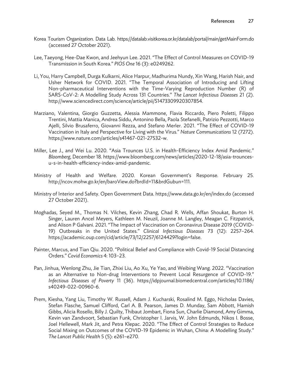- Korea Tourism Organization. Data Lab. https://datalab.visitkorea.or.kr/datalab/portal/main/getMainForm.do (accessed 27 October 2021).
- Lee, Taeyong, Hee-Dae Kwon, and Jeehyun Lee. 2021. "The Effect of Control Measures on COVID-19 Transmission in South Korea." *PlOS One* 16 (3): e0249262.
- Li, You, Harry Campbell, Durga Kulkarni, Alice Harpur, Madhurima Nundy, Xin Wang, Harish Nair, and Usher Network for COVID. 2021. "The Temporal Association of Introducing and Lifting Non-pharmaceutical Interventions with the Time-Varying Reproduction Number (R) of SARS-CoV-2: A Modelling Study Across 131 Countries." *The Lancet Infectious Diseases* 21 (2). http://www.sciencedirect.com/science/article/pii/S1473309920307854.
- Marziano, Valentina, Giorgio Guzzetta, Alessia Mammone, Flavia Riccardo, Piero Poletti, Filippo Trentini, Mattia Manica, Andrea Siddu, Antonino Bella, Paola Stefanelli, Patrizio Pezzotti, Marco Ajelli, Silvio Brusaferro, Giovanni Rezza, and Stefano Merler. 2021. "The Effect of COVID-19 Vaccination in Italy and Perspective for Living with the Virus." *Nature Communications* 12 (7272). https://www.nature.com/articles/s41467-021-27532-w.
- Miller, Lee J., and Wei Lu. 2020. "Asia Trounces U.S. in Health-Efficiency Index Amid Pandemic." *Bloomberg*, December 18. https://www.bloomberg.com/news/articles/2020-12-18/asia-trouncesu-s-in-health-efficiency-index-amid-pandemic.
- Ministry of Health and Welfare. 2020. Korean Government's Response. February 25. http://ncov.mohw.go.kr/en/baroView.do?brdId=11&brdGubun=111.
- Ministry of Interior and Safety. Open Government Data. https://www.data.go.kr/en/index.do (accessed 27 October 2021).
- Moghadas, Seyed M., Thomas N. Vilches, Kevin Zhang, Chad R. Wells, Affan Shoukat, Burton H. Singer, Lauren Ancel Meyers, Kathleen M. Neuzil, Joanne M. Langley, Meagan C. Fitzpatrick, and Alison P Galvani. 2021. "The Impact of Vaccination on Coronavirus Disease 2019 (COVID-19) Outbreaks in the United States." *Clinical Infectious Diseases* 73 (12): 2257–264. https://academic.oup.com/cid/article/73/12/2257/6124429?login=false.
- Painter, Marcus, and Tian Qiu. 2020. "Political Belief and Compliance with Covid-19 Social Distancing Orders." *Covid Economics* 4: 103–23.
- Pan, Jinhua, Wenlong Zhu, Jie Tian, Zhixi Liu, Ao Xu, Ye Yao, and Weibing Wang. 2022. "Vaccination as an Alternative to Non-drug Interventions to Prevent Local Resurgence of COVID-19." *Infectious Diseases of Poverty* 11 (36). https://idpjournal.biomedcentral.com/articles/10.1186/ s40249-022-00960-6.
- Prem, Kiesha, Yang Liu, Timothy W. Russell, Adam J. Kucharski, Rosalind M. Eggo, Nicholas Davies, Stefan Flasche, Samuel Clifford, Carl A. B. Pearson, James D. Munday, Sam Abbott, Hamish Gibbs, Alicia Rosello, Billy J. Quilty, Thibaut Jombart, Fiona Sun, Charlie Diamond, Amy Gimma, Kevin van Zandvoort, Sebastian Funk, Christopher I. Jarvis, W. John Edmunds, Nikos I. Bosse, Joel Hellewell, Mark Jit, and Petra Klepac. 2020. "The Effect of Control Strategies to Reduce Social Mixing on Outcomes of the COVID-19 Epidemic in Wuhan, China: A Modelling Study." *The Lancet Public Health* 5 (5): e261–e270.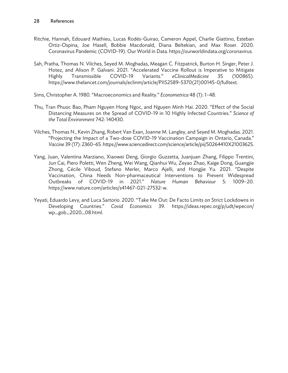- Ritchie, Hannah, Edouard Mathieu, Lucas Rodés-Guirao, Cameron Appel, Charlie Giattino, Esteban Ortiz-Ospina, Joe Hasell, Bobbie Macdonald, Diana Beltekian, and Max Roser. 2020. Coronavirus Pandemic (COVID-19). Our World in Data. https://ourworldindata.org/coronavirus.
- Sah, Pratha, Thomas N. Vilches, Seyed M. Moghadas, Meagan C. Fitzpatrick, Burton H. Singer, Peter J. Hotez, and Alison P. Galvani. 2021. "Accelerated Vaccine Rollout is Imperative to Mitigate Highly Transmissible COVID-19 Variants." *eClinicalMedicine* 35 (100865). https://www.thelancet.com/journals/eclinm/article/PIIS2589-5370(21)00145-0/fulltext.
- Sims, Christopher A. 1980. "Macroeconomics and Reality." *Econometrica* 48 (1): 1–48.
- Thu, Tran Phuoc Bao, Pham Nguyen Hong Ngoc, and Nguyen Minh Hai. 2020. "Effect of the Social Distancing Measures on the Spread of COVID-19 in 10 Highly Infected Countries." *Science of the Total Environment* 742: 140430.
- Vilches, Thomas N., Kevin Zhang, Robert Van Exan, Joanne M. Langley, and Seyed M. Moghadas. 2021. "Projecting the Impact of a Two-dose COVID-19 Vaccination Campaign in Ontario, Canada." *Vaccine* 39 (17): 2360–65. https://www.sciencedirect.com/science/article/pii/S0264410X21003625.
- Yang, Juan, Valentina Marziano, Xiaowei Deng, Giorgio Guzzetta, Juanjuan Zhang, Filippo Trentini, Jun Cai, Piero Poletti, Wen Zheng, Wei Wang, Qianhui Wu, Zeyao Zhao, Kaige Dong, Guangjie Zhong, Cécile Viboud, Stefano Merler, Marco Ajelli, and Hongjie Yu. 2021. "Despite Vaccination, China Needs Non-pharmaceutical Interventions to Prevent Widespread Outbreaks of COVID-19 in 2021." *Nature Human Behaviour* 5: 1009–20. https://www.nature.com/articles/s41467-021-27532-w.
- Yeyati, Eduardo Levy, and Luca Sartorio. 2020. "Take Me Out: De Facto Limits on Strict Lockdowns in<br>Developing Countries." Covid Economics 39. https://ideas.repec.org/p/udt/wpecon/ Covid Economics 39. https://ideas.repec.org/p/udt/wpecon/ wp\_gob\_2020\_08.html.